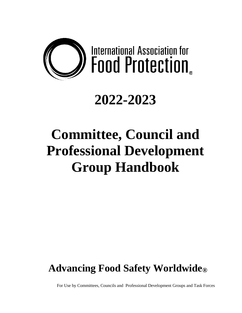

# **2022-2023**

# **Committee, Council and Professional Development Group Handbook**

# **Advancing Food Safety Worldwide®**

For Use by Committees, Councils and Professional Development Groups and Task Forces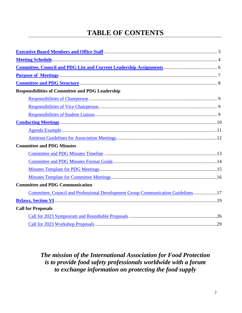## **TABLE OF CONTENTS**

| <b>Responsibilities of Committee and PDG Leadership</b>                          |  |
|----------------------------------------------------------------------------------|--|
|                                                                                  |  |
|                                                                                  |  |
|                                                                                  |  |
|                                                                                  |  |
|                                                                                  |  |
|                                                                                  |  |
| <b>Committee and PDG Minutes</b>                                                 |  |
|                                                                                  |  |
|                                                                                  |  |
|                                                                                  |  |
|                                                                                  |  |
| <b>Committee and PDG Communication</b>                                           |  |
| Committee, Council and Professional Development Group Communication Guidelines17 |  |
|                                                                                  |  |
| <b>Call for Proposals</b>                                                        |  |
|                                                                                  |  |
|                                                                                  |  |

## *The mission of the International Association for Food Protection is to provide food safety professionals worldwide with a forum to exchange information on protecting the food supply*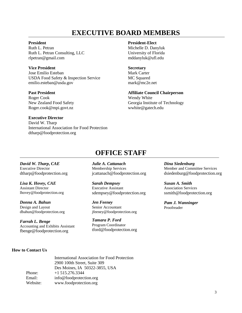## <span id="page-2-0"></span>**EXECUTIVE BOARD MEMBERS**

#### **President**

Ruth L. Petran Ruth L. Petran Consulting, LLC rlpetran@gmail.com

#### **Vice President**

Jose Emilio Esteban USDA Food Safety & Inspection Service emilio.esteban@usda.gov

#### **Past President**

Roger Cook New Zealand Food Safety Roger.cook@mpi.govt.nz

#### **Executive Director**

David W. Tharp International Association for Food Protection dtharp@foodprotection.org

#### **President-Elect**

Michelle D. Danyluk University of Florida mddanyluk@ufl.edu

#### **Secretary**

Mark Carter MC Squared mark@mc2e.net

#### **Affiliate Council Chairperson**

Wendy White Georgia Institute of Technology wwhite@gatech.edu

## **OFFICE STAFF**

*David W. Tharp***,** *CAE* Executive Director dtharp@foodprotection.org

*Lisa K. Hovey, CAE* Assistant Director lhovey@foodprotection.org

*Donna A. Bahun* Design and Layout dbahun@foodprotection.org

*Farrah L. Benge* Accounting and Exhibits Assistant fbenge@foodprotection.org

*Julie A. Cattanach* Membership Services jcattanach@foodprotection.org

*Sarah Dempsey* Executive Assistant sdempsey@foodprotection.org

*Jen Feeney* Senior Accountant jfeeney@foodprotection.org

*Tamara P. Ford* Program Coordinator tford@foodprotection.org *Dina Siedenburg* Member and Committee Services dsiedenburg@foodprotection.org

*Susan A. Smith* Association Services ssmith@foodprotection.org

*Pam J. Wanninger* Proofreader

#### **How to Contact Us**

International Association for Food Protection 2900 100th Street, Suite 309 Des Moines, IA 50322-3855, USA Phone: +1 515.276.3344 Email: info@foodprotection.org Website: www.foodprotection.org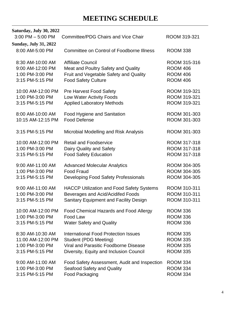## **MEETING SCHEDULE**

| Saturday, July 30, 2022      |                                                  |                 |
|------------------------------|--------------------------------------------------|-----------------|
| $3:00$ PM $-5:00$ PM         | <b>Committee/PDG Chairs and Vice Chair</b>       | ROOM 319-321    |
| <b>Sunday, July 31, 2022</b> |                                                  |                 |
| 8:00 AM-5:00 PM              | <b>Committee on Control of Foodborne Illness</b> | <b>ROOM 338</b> |
| 8:30 AM-10:00 AM             | <b>Affiliate Council</b>                         | ROOM 315-316    |
| 9:00 AM-12:00 PM             | Meat and Poultry Safety and Quality              | <b>ROOM 406</b> |
| 1:00 PM-3:00 PM              | Fruit and Vegetable Safety and Quality           | <b>ROOM 406</b> |
| 3:15 PM-5:15 PM              | <b>Food Safety Culture</b>                       | <b>ROOM 406</b> |
| 10:00 AM-12:00 PM            | <b>Pre Harvest Food Safety</b>                   | ROOM 319-321    |
| 1:00 PM-3:00 PM              | Low Water Activity Foods                         | ROOM 319-321    |
| 3:15 PM-5:15 PM              | <b>Applied Laboratory Methods</b>                | ROOM 319-321    |
| 8:00 AM-10:00 AM             | Food Hygiene and Sanitation                      | ROOM 301-303    |
| 10:15 AM-12:15 PM            | <b>Food Defense</b>                              | ROOM 301-303    |
| 3:15 PM-5:15 PM              | Microbial Modelling and Risk Analysis            | ROOM 301-303    |
| 10:00 AM-12:00 PM            | <b>Retail and Foodservice</b>                    | ROOM 317-318    |
| 1:00 PM-3:00 PM              | Dairy Quality and Safety                         | ROOM 317-318    |
| 3:15 PM-5:15 PM              | <b>Food Safety Education</b>                     | ROOM 317-318    |
| 9:00 AM-11:00 AM             | <b>Advanced Molecular Analytics</b>              | ROOM 304-305    |
| 1:00 PM-3:00 PM              | <b>Food Fraud</b>                                | ROOM 304-305    |
| 3:15 PM-5:15 PM              | Developing Food Safety Professionals             | ROOM 304-305    |
| 9:00 AM-11:00 AM             | <b>HACCP Utilization and Food Safety Systems</b> | ROOM 310-311    |
| 1:00 PM-3:00 PM              | Beverages and Acid/Acidifed Foods                | ROOM 310-311    |
| 3:15 PM-5:15 PM              | Sanitary Equipment and Facility Design           | ROOM 310-311    |
| 10:00 AM-12:00 PM            | Food Chemical Hazards and Food Allergy           | <b>ROOM 336</b> |
| 1:00 PM-3:00 PM              | Food Law                                         | <b>ROOM 336</b> |
| 3:15 PM-5:15 PM              | <b>Water Safety and Quality</b>                  | <b>ROOM 336</b> |
| 8:30 AM-10:30 AM             | <b>International Food Protection Issues</b>      | <b>ROOM 335</b> |
| 11:00 AM-12:00 PM            | <b>Student (PDG Meeting)</b>                     | <b>ROOM 335</b> |
| 1:00 PM-3:00 PM              | Viral and Parasitic Foodborne Disease            | <b>ROOM 335</b> |
| 3:15 PM-5:15 PM              | Diversity, Equity and Inclusion Council          | <b>ROOM 335</b> |
| 9:00 AM-11:00 AM             | Food Safety Assessment, Audit and Inspection     | <b>ROOM 334</b> |
| 1:00 PM-3:00 PM              | Seafood Safety and Quality                       | <b>ROOM 334</b> |
| 3:15 PM-5:15 PM              | Food Packaging                                   | <b>ROOM 334</b> |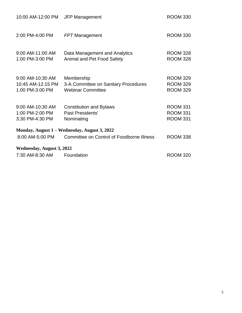<span id="page-4-0"></span>

| 10:00 AM-12:00 PM JFP Management                         |                                                                                                  | <b>ROOM 330</b>                                       |
|----------------------------------------------------------|--------------------------------------------------------------------------------------------------|-------------------------------------------------------|
| 2:00 PM-4:00 PM                                          | <b>FPT</b> Management                                                                            | <b>ROOM 330</b>                                       |
| 9:00 AM-11:00 AM<br>1:00 PM-3:00 PM                      | Data Management and Analytics<br>Animal and Pet Food Safety                                      | <b>ROOM 328</b><br><b>ROOM 328</b>                    |
| 9:00 AM-10:30 AM<br>10:45 AM-12:15 PM<br>1:00 PM-3:00 PM | Membership<br>3-A Committee on Sanitary Procedures<br><b>Webinar Committee</b>                   | <b>ROOM 329</b><br><b>ROOM 329</b><br><b>ROOM 329</b> |
| 9:00 AM-10:30 AM<br>1:00 PM-2:00 PM<br>3:30 PM-4:30 PM   | <b>Constitution and Bylaws</b><br>Past Presidents'<br>Nominating                                 | <b>ROOM 331</b><br><b>ROOM 331</b><br><b>ROOM 331</b> |
| 8:00 AM-5:00 PM                                          | Monday, August 1 – Wednesday, August 3, 2022<br><b>Committee on Control of Foodborne Illness</b> | <b>ROOM 338</b>                                       |
| Wednesday, August 3, 2022<br>7:30 AM-8:30 AM             | Foundation                                                                                       | <b>ROOM 320</b>                                       |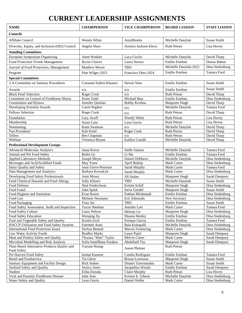# **CURRENT LEADERSHIP ASSIGNMENTS**

| <b>NAME</b>                                                     | <b>CHAIRPERSON</b>                           | <b>VICE CHAIRPERSON</b>      | <b>BOARD LIAISON</b>          | <b>STAFF LIAISON</b>           |
|-----------------------------------------------------------------|----------------------------------------------|------------------------------|-------------------------------|--------------------------------|
| <b>Councils</b>                                                 |                                              |                              |                               |                                |
| <b>Affiliate Council</b>                                        | Wendy White                                  | AmyRhodes                    | Michelle Danyluk              | <b>Susan Smith</b>             |
| Diversity, Equity, and Inclusion (DEI) Council                  | Angela Shaw                                  | Armitra Jackson-Davis        | <b>Ruth Petran</b>            | Lisa Hovey                     |
| <b>Standing Committees</b>                                      |                                              |                              |                               |                                |
| European Symposium Organizing                                   | Anett Winkler                                | Luca Coclin                  | Michelle Danyluk              | David Tharp                    |
| Food Protection Trends Management                               | <b>Byron Chaves</b>                          | Laura Strawn                 | Emilio Esteban                | Donna Bahun                    |
| Journal of Food Protection® Management                          | <b>Matthew Moore</b>                         | <b>TBD</b>                   | Michelle Danyluk-2022         | Dina Siedenburg                |
|                                                                 |                                              |                              | Emilio Esteban                | Tamara Ford                    |
| Program                                                         | Pam Wilger-2023                              | Francisco Diez-2024          |                               |                                |
| <b>Special Committees</b>                                       |                                              |                              |                               |                                |
| 3-A Committee on Sanitary Procedures                            | Carianne Endert-Klaasen                      | <b>Steven Sims</b>           | Emilio Esteban                | Susan Smith                    |
| Awards                                                          | n/a                                          | n/a                          | Emilio Esteban                | Susan Smith                    |
| <b>Black Pearl Selection</b>                                    | Roger Cook                                   | n/a                          | Ruth Petran                   | David Tharp                    |
| Committee on Control of Foodborne Illness                       | Ewen Todd                                    | <b>Michael Batz</b>          | Emilio Esteban                | Dina Siedenburg                |
| <b>Constitution and Bylaws</b>                                  | Jennifer Quinlan                             | <b>Bobby Krishna</b>         | <b>Manpreet Singh</b>         | David Tharp                    |
| Developing Scientist Awards                                     | Carrie Rigdon                                | n/a                          | Michelle Danyluk              | Tamara Ford                    |
| <b>Fellows Selection</b>                                        | Roger Cook                                   | n/a                          | <b>Ruth Petran</b>            | David Tharp                    |
| Foundation                                                      | Gary Acuff                                   | Wendy White                  | <b>Ruth Petran</b>            | Lisa Hovey                     |
| Membership                                                      | Susan Linn                                   | Leon Gorris                  | Ruth Petran                   | Lisa Hovey                     |
| Nominating                                                      | Katie Swanson                                | n/a                          | Michelle Danyluk              | David Tharp                    |
| Past Presidents'                                                | Kali Kniel                                   | Roger Cook                   | Ruth Petran                   | David Tharp                    |
| Tellers                                                         | Ben Chapman                                  | n/a                          | Ruth Petran                   | David Tharp                    |
| Webinar                                                         | Veronica Bryant                              | Kaitlyn Casulli              | Michelle Danyluk              | David Tharp                    |
| <b>Professional Development Groups</b>                          |                                              |                              |                               |                                |
| <b>Advanced Molecular Analytics</b>                             | Jasna Kovac                                  | Joelle Salazar               | Michelle Danyluk              | Tamara Ford                    |
| Animal and Pet Food Safety                                      | Beilei Ge                                    | Li Ma                        | Emilio Esteban                | Tamara Ford                    |
| <b>Applied Laboratory Methods</b>                               | Joseph Meyer                                 | Daniel DeMarco               | Michelle Danyluk              | Dina Siedenburg                |
| Beverages and Acid/Acidified Foods<br>Dairy Quality and Safety  | May Yeow<br>Josie Greve-Peterson             | April Bishop<br>Sarah Murphy | Mark Carter<br>Mark Carter    | Dina Siedenburg<br>Tamara Ford |
| Data Management and Analytics                                   | Barbara Kowalcyk                             | Sarah Murphy                 | Mark Carter                   | Dina Siedenburg                |
| Developing Food Safety Professionals                            | Amit Morey                                   | Jill Stuber                  | <b>Manpreet Singh</b>         | Sarah Dempsey                  |
| Food Chemical Hazards and Food Allergy                          | <b>Sally Klinect</b>                         | <b>TBD</b>                   | Michelle Danyluk              | Susan Smith                    |
| Food Defense                                                    | Neal Fredrickson                             | Kristin Schill               | <b>Manpreet Singh</b>         | Dina Siedenburg                |
| Food Fraud                                                      | John Spink                                   | <b>Steve Gendel</b>          | <b>Manpreet Singh</b>         | Susan Smith                    |
| Food Hygiene and Sanitation                                     | Evan Rosen                                   | Nathan Mirdamadi             | Emilio Esteban                | Dina Siedenburg                |
| Food Law                                                        | Melanie Neumann                              | Eric Edmunds                 | New Secretary                 | Dina Siedenburg                |
| Food Packaging                                                  | Tony Jin                                     | <b>TBD</b>                   | Emilio Esteban                | Susan Smith                    |
| Food Safety Assessment, Audit and Inspection                    | Tracie Sheehan                               | Jennifer Lott                | Mark Carter                   | Tamara Ford                    |
| Food Safety Culture                                             | Laura Nelson                                 | Melody Ge                    | Manpreet Singh                | Dina Siedenburg                |
| Food Safety Education                                           | Wenqing Xu                                   | Shauna Henley                | Emilio Esteban                | Dina Siedenburg                |
| Fruit and Vegetable Safety and Quality                          | Kristin Esch                                 | Enrique Garcia               | Emilio Esteban                | Tamara Ford                    |
| HACCP Utilization and Food Safety Systems                       | Fatemeh Ataei                                | Bala Kottapalli              | Michelle Danyluk              | Dina Siedenburg                |
| <b>International Food Protection Issues</b>                     | DeAnn Benesh                                 | Marcel Zwietering            | Mark Carter                   | Dina Siedenburg                |
| Low Water Activity Foods<br>Meat and Poultry Safety and Quality | <b>Bradley Marks</b><br>Thomas "Matt" Taylor | Laure Pujol<br>Melvin Carter | Manpreet Singh<br>Mark Carter | Sarah Dempsey<br>Sarah Dempsey |
| Microbial Modelling and Risk Analysis                           | Sofia Santilllana-Farakos                    | <b>Abdullatif Tay</b>        | <b>Manpreet Singh</b>         | Sarah Dempsey                  |
| Plant-Based Alternative Products Quality and                    | Yanyan Huang                                 |                              | Ruth Petran                   |                                |
| Food Safety                                                     |                                              | Aaron Plettner               |                               |                                |
| Pre Harvest Food Safety                                         | <b>Issmat Kassem</b>                         | Camila Rodriguez             | Emilio Esteban                | Tamara Ford                    |
| Retail and Foodservice                                          | Tia Glave                                    | Briana Lorenzon              | Manpreet Singh                | Susan Smith                    |
| Sanitary Equipment and Facility Design                          | <b>Rick Stokes</b>                           | Dimitri Tavernarakis         | Mark Carter                   | Susan Smith                    |
| Seafood Safety and Quality                                      | Jessica Jones                                | Jacquelina Woods             | Emilio Esteban                | Sarah Dempsey                  |
| Student                                                         | Erika Estrada                                | Claire Murphy                | <b>Ruth Petran</b>            | Lisa Hovey                     |
| Viral and Parasitic Foodborne Disease                           | Julie Jean                                   | Kristen E. Gibson            | Michelle Danyluk              | Dina Siedenburg                |
| Water Safety and Quality                                        | Leon Gorris                                  | Daniel Weller                | Mark Carter                   | Dina Siedenburg                |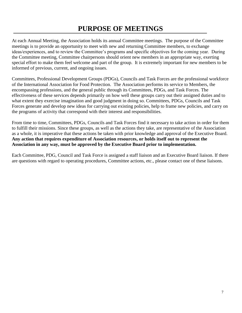## **PURPOSE OF MEETINGS**

<span id="page-6-0"></span>At each Annual Meeting, the Association holds its annual Committee meetings. The purpose of the Committee meetings is to provide an opportunity to meet with new and returning Committee members, to exchange ideas/experiences, and to review the Committee's programs and specific objectives for the coming year. During the Committee meeting, Committee chairpersons should orient new members in an appropriate way, exerting special effort to make them feel welcome and part of the group. It is extremely important for new members to be informed of previous, current, and ongoing issues.

Committees, Professional Development Groups (PDGs), Councils and Task Forces are the professional workforce of the International Association for Food Protection. The Association performs its service to Members, the encompassing professions, and the general public through its Committees, PDGs, and Task Forces. The effectiveness of these services depends primarily on how well these groups carry out their assigned duties and to what extent they exercise imagination and good judgment in doing so. Committees, PDGs, Councils and Task Forces generate and develop new ideas for carrying out existing policies, help to frame new policies, and carry on the programs of activity that correspond with their interest and responsibilities.

From time to time, Committees, PDGs, Councils and Task Forces find it necessary to take action in order for them to fulfill their missions. Since these groups, as well as the actions they take, are representative of the Association as a whole, it is imperative that these actions be taken with prior knowledge and approval of the Executive Board. **Any action that requires expenditure of Association resources, or holds itself out to represent the Association in any way, must be approved by the Executive Board prior to implementation.**

Each Committee, PDG, Council and Task Force is assigned a staff liaison and an Executive Board liaison. If there are questions with regard to operating procedures, Committee actions, etc., please contact one of these liaisons.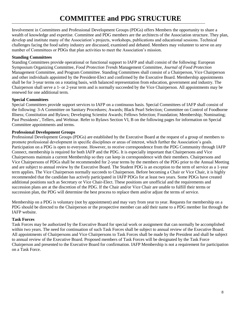# **COMMITTEE and PDG STRUCTURE**

<span id="page-7-0"></span>Involvement in Committees and Professional Development Groups (PDGs) offers Members the opportunity to share a wealth of knowledge and expertise. Committee and PDG members are the architects of the Association structure. They plan, develop and institute many of the Association's projects, workshops, publications and educational sessions. Technical challenges facing the food safety industry are discussed, examined and debated. Members may volunteer to serve on any number of Committees or PDGs that plan activities to meet the Association's mission.

### **Standing Committees**

Standing Committees provide operational or functional support to IAFP and shall consist of the following: European Symposium Organizing Committee, *Food Protection Trends* Management Committee, *Journal of Food Protection* Management Committee, and Program Committee. Standing Committees shall consist of a Chairperson, Vice Chairperson and other individuals appointed by the President-Elect and confirmed by the Executive Board. Membership appointments shall be for 3-year terms on a rotating basis, with balanced representation from education, government and industry. The Chairperson shall serve a 1- or 2-year term and is normally succeeded by the Vice Chairperson. All appointments may be renewed for one additional term.

### **Special Committees**

Special Committees provide support services to IAFP on a continuous basis. Special Committees of IAFP shall consist of the following: 3-A Committee on Sanitary Procedures; Awards; Black Pearl Selection; Committee on Control of Foodborne Illness; Constitution and Bylaws; Developing Scientist Awards; Fellows Selection; Foundation; Membership; Nominating; Past Presidents', Tellers, and Webinar. Refer to Bylaws Section VI, B on the following pages for information on Special Committee appointments and terms.

### **Professional Development Groups**

Professional Development Groups (PDGs) are established by the Executive Board at the request of a group of members to promote professional development in specific disciplines or areas of interest, which further the Association's goals. Participation on a PDG is open to everyone. However, to receive correspondence from the PDG Community through IAFP Connect, membership is required for both IAFP and the PDG. It is especially important that Chairpersons and Vice Chairpersons maintain a current Membership so they can keep in correspondence with their members. Chairpersons and Vice Chairpersons of PDGs shall be recommended for 2-year terms by the members of the PDG prior to the Annual Meeting and are subject to annual review by the Executive Board. The Student PDG is an exception to the term of service as a 1-year term applies. The Vice Chairperson normally succeeds to Chairperson. Before becoming a Chair or Vice Chair, it is highly recommended that the candidate has actively participated in IAFP PDGs for at least two years. Some PDGs have created additional positions such as Secretary or Vice Chair-Elect. These positions are unofficial and the requirements and succession plans are at the discretion of the PDG. If the Chair and/or Vice Chair are unable to fulfill their terms or succession plan, the PDG will determine the best process to replace them and/or adjust the terms of service.

Membership on a PDG is voluntary (not by appointment) and may vary from year to year. Requests for membership on a PDG should be directed to the Chairperson or the prospective member can add their name to a PDG member list through the IAFP website.

### **Task Forces**

Task Forces may be authorized by the Executive Board for special work or assignment that can normally be accomplished within two years. The need for continuation of such Task Forces shall be subject to annual review of the Executive Board. All appointments of Chairpersons and Vice Chairpersons to Task Forces shall be made by the President and shall be subject to annual review of the Executive Board. Proposed members of Task Forces will be designated by the Task Force Chairperson and presented to the Executive Board for confirmation. IAFP Membership is not a requirement for participation on a Task Force.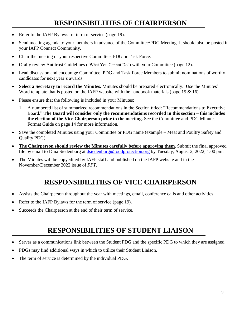## **RESPONSIBILITIES OF CHAIRPERSON**

- <span id="page-8-0"></span>Refer to the IAFP Bylaws for term of service (page 19).
- Send meeting agenda to your members in advance of the Committee/PDG Meeting. It should also be posted in your IAFP Connect Community.
- Chair the meeting of your respective Committee, PDG or Task Force.
- Orally review Antitrust Guidelines ("What You Cannot Do") with your Committee (page 12).
- Lead discussion and encourage Committee, PDG and Task Force Members to submit nominations of worthy candidates for next year's awards.
- **Select a Secretary to record the Minutes.** Minutes should be prepared electronically. Use the Minutes' Word template that is posted on the IAFP website with the handbook materials (page 15 & 16).
- Please ensure that the following is included in your Minutes:
	- 1. A numbered list of summarized recommendations in the Section titled: "Recommendations to Executive Board." **The Board will consider only the recommendations recorded in this section – this includes the election of the Vice Chairperson prior to the meeting.** See the Committee and PDG Minutes Format Guide on page 14 for more information**.**
- Save the completed Minutes using your Committee or PDG name (example Meat and Poultry Safety and Quality PDG).
- **The Chairperson should review the Minutes carefully before approving them.** Submit the final approved file by email to Dina Siedenburg at [dsiedenburg@foodprotection.org](mailto:dloynachan@foodprotection.org) by Tuesday, August 2, 2022, 1:00 pm.
- The Minutes will be copyedited by IAFP staff and published on the IAFP website and in the November/December 2022 issue of *FPT*.

## **RESPONSIBILITIES OF VICE CHAIRPERSON**

- <span id="page-8-1"></span>Assists the Chairperson throughout the year with meetings, email, conference calls and other activities.
- Refer to the IAFP Bylaws for the term of service (page 19).
- Succeeds the Chairperson at the end of their term of service.

## **RESPONSIBILITIES OF STUDENT LIAISON**

- <span id="page-8-2"></span>• Serves as a communications link between the Student PDG and the specific PDG to which they are assigned.
- PDGs may find additional ways in which to utilize their Student Liaison.
- The term of service is determined by the individual PDG.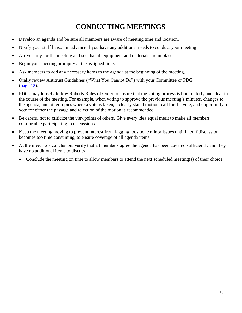## **CONDUCTING MEETINGS**

- <span id="page-9-0"></span>• Develop an agenda and be sure all members are aware of meeting time and location.
- Notify your staff liaison in advance if you have any additional needs to conduct your meeting.
- Arrive early for the meeting and see that all equipment and materials are in place.
- Begin your meeting promptly at the assigned time.
- Ask members to add any necessary items to the agenda at the beginning of the meeting.
- Orally review Antitrust Guidelines ("What You Cannot Do") with your Committee or PDG [\(page 12\)](#page-11-0).
- PDGs may loosely follow Roberts Rules of Order to ensure that the voting process is both orderly and clear in the course of the meeting. For example, when voting to approve the previous meeting's minutes, changes to the agenda, and other topics where a vote is taken, a clearly stated motion, call for the vote, and opportunity to vote for either the passage and rejection of the motion is recommended.
- Be careful not to criticize the viewpoints of others. Give every idea equal merit to make all members comfortable participating in discussions.
- Keep the meeting moving to prevent interest from lagging; postpone minor issues until later if discussion becomes too time consuming, to ensure coverage of all agenda items.
- At the meeting's conclusion, verify that all members agree the agenda has been covered sufficiently and they have no additional items to discuss.
	- Conclude the meeting on time to allow members to attend the next scheduled meeting(s) of their choice.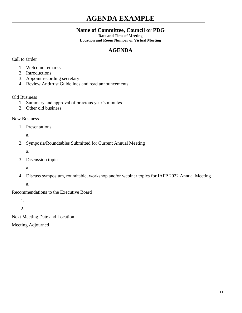## <span id="page-10-0"></span>**AGENDA EXAMPLE**

## **Name of Committee, Council or PDG**

**Date and Time of Meeting Location and Room Number or Virtual Meeting**

## **AGENDA**

### Call to Order

- 1. Welcome remarks
- 2. Introductions
- 3. Appoint recording secretary
- 4. Review Antitrust Guidelines and read announcements

### Old Business

- 1. Summary and approval of previous year's minutes
- 2. Other old business

### New Business

1. Presentations

a.

- 2. Symposia/Roundtables Submitted for Current Annual Meeting
	- a.
- 3. Discussion topics

a.

4. Discuss symposium, roundtable, workshop and/or webinar topics for IAFP 2022 Annual Meeting

a.

Recommendations to the Executive Board

1.

2.

Next Meeting Date and Location

Meeting Adjourned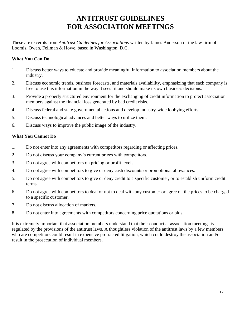## **ANTITRUST GUIDELINES FOR ASSOCIATION MEETINGS**

<span id="page-11-0"></span>These are excerpts from *Antitrust Guidelines for Associations* written by James Anderson of the law firm of Loomis, Owen, Fellman & Howe, based in Washington, D.C.

### **What You Can Do**

- 1. Discuss better ways to educate and provide meaningful information to association members about the industry.
- 2. Discuss economic trends, business forecasts, and materials availability, emphasizing that each company is free to use this information in the way it sees fit and should make its own business decisions.
- 3. Provide a properly structured environment for the exchanging of credit information to protect association members against the financial loss generated by bad credit risks.
- 4. Discuss federal and state governmental actions and develop industry-wide lobbying efforts.
- 5. Discuss technological advances and better ways to utilize them.
- 6. Discuss ways to improve the public image of the industry.

### **What You Cannot Do**

- 1. Do not enter into any agreements with competitors regarding or affecting prices.
- 2. Do not discuss your company's current prices with competitors.
- 3. Do not agree with competitors on pricing or profit levels.
- 4. Do not agree with competitors to give or deny cash discounts or promotional allowances.
- 5. Do not agree with competitors to give or deny credit to a specific customer, or to establish uniform credit terms.
- 6. Do not agree with competitors to deal or not to deal with any customer or agree on the prices to be charged to a specific customer.
- 7. Do not discuss allocation of markets.
- 8. Do not enter into agreements with competitors concerning price quotations or bids.

It is extremely important that association members understand that their conduct at association meetings is regulated by the provisions of the antitrust laws. A thoughtless violation of the antitrust laws by a few members who are competitors could result in expensive protracted litigation, which could destroy the association and/or result in the prosecution of individual members.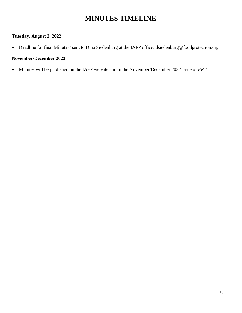## <span id="page-12-0"></span>**Tuesday, August 2, 2022**

• Deadline for final Minutes' sent to Dina Siedenburg at the IAFP office: dsiedenburg@foodprotection.org

### **November/December 2022**

• Minutes will be published on the IAFP website and in the November/December 2022 issue of *FPT.*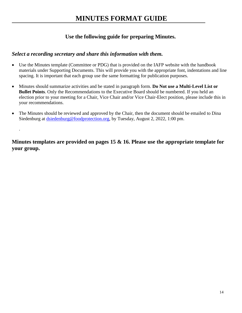## <span id="page-13-0"></span>**Use the following guide for preparing Minutes.**

## *Select a recording secretary and share this information with them.*

.

- Use the Minutes template (Committee or PDG) that is provided on the IAFP website with the handbook materials under Supporting Documents. This will provide you with the appropriate font, indentations and line spacing. It is important that each group use the same formatting for publication purposes.
- Minutes should summarize activities and be stated in paragraph form. **Do Not use a Multi-Level List or Bullet Points**. Only the Recommendations to the Executive Board should be numbered. If you held an election prior to your meeting for a Chair, Vice Chair and/or Vice Chair-Elect position, please include this in your recommendations.
- The Minutes should be reviewed and approved by the Chair, then the document should be emailed to Dina Siedenburg at [dsiedenburg@foodprotection.org,](mailto:dloynachan@foodprotection.org) by Tuesday, August 2, 2022, 1:00 pm.

**Minutes templates are provided on pages 15 & 16. Please use the appropriate template for your group.**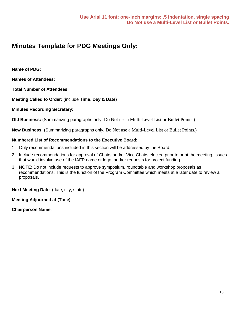## <span id="page-14-0"></span>**Minutes Template for PDG Meetings Only:**

**Name of PDG:**

**Names of Attendees:** 

**Total Number of Attendees**:

**Meeting Called to Order:** (include **Time**, **Day & Date**)

### **Minutes Recording Secretary:**

**Old Business:** (Summarizing paragraphs only. Do Not use a Multi-Level List or Bullet Points.)

**New Business:** (Summarizing paragraphs only. Do Not use a Multi-Level List or Bullet Points.)

### **Numbered List of Recommendations to the Executive Board:**

- 1. Only recommendations included in this section will be addressed by the Board.
- 2. Include recommendations for approval of Chairs and/or Vice Chairs elected prior to or at the meeting, issues that would involve use of the IAFP name or logo, and/or requests for project funding.
- 3. NOTE: Do not include requests to approve symposium, roundtable and workshop proposals as recommendations. This is the function of the Program Committee which meets at a later date to review all proposals.

**Next Meeting Date**: (date, city, state)

**Meeting Adjourned at (Time)**:

**Chairperson Name**: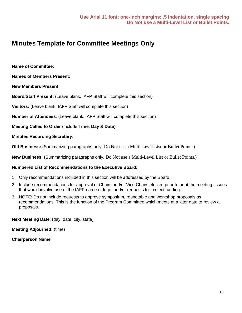## <span id="page-15-0"></span>**Minutes Template for Committee Meetings Only**

**Name of Committee:**

**Names of Members Present:** 

**New Members Present:**

**Board/Staff Present:** (Leave blank. IAFP Staff will complete this section)

**Visitors:** (Leave blank. IAFP Staff will complete this section)

**Number of Attendees**: (Leave blank. IAFP Staff will complete this section)

**Meeting Called to Order** (include **Time**, **Day & Date**):

**Minutes Recording Secretary**:

**Old Business:** (Summarizing paragraphs only. Do Not use a Multi-Level List or Bullet Points.)

**New Business:** (Summarizing paragraphs only. Do Not use a Multi-Level List or Bullet Points.)

### **Numbered List of Recommendations to the Executive Board:**

- 1. Only recommendations included in this section will be addressed by the Board.
- 2. Include recommendations for approval of Chairs and/or Vice Chairs elected prior to or at the meeting, issues that would involve use of the IAFP name or logo, and/or requests for project funding.
- 3. NOTE: Do not include requests to approve symposium, roundtable and workshop proposals as recommendations. This is the function of the Program Committee which meets at a later date to review all proposals.

**Next Meeting Date**: (day, date, city, state)

**Meeting Adjourned:** (time)

**Chairperson Name**: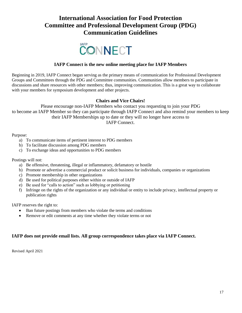## <span id="page-16-0"></span>**International Association for Food Protection Committee and Professional Development Group (PDG) Communication Guidelines**



### **IAFP Connect is the new online meeting place for IAFP Members**

Beginning in 2019, IAFP Connect began serving as the primary means of communication for Professional Development Groups and Committees through the PDG and Committee communities. Communities allow members to participate in discussions and share resources with other members; thus, improving communication. This is a great way to collaborate with your members for symposium development and other projects.

### **Chairs and Vice Chairs!**

Please encourage non-IAFP Members who contact you requesting to join your PDG to become an IAFP Member so they can participate through IAFP Connect and also remind your members to keep their IAFP Memberships up to date or they will no longer have access to IAFP Connect.

Purpose:

- a) To communicate items of pertinent interest to PDG members
- b) To facilitate discussion among PDG members
- c) To exchange ideas and opportunities to PDG members

Postings will not:

- a) Be offensive, threatening, illegal or inflammatory, defamatory or hostile
- b) Promote or advertise a commercial product or solicit business for individuals, companies or organizations
- c) Promote membership in other organizations
- d) Be used for political purposes either within or outside of IAFP
- e) Be used for "calls to action" such as lobbying or petitioning
- f) Infringe on the rights of the organization or any individual or entity to include privacy, intellectual property or publication rights

IAFP reserves the right to:

- Ban future postings from members who violate the terms and conditions
- Remove or edit comments at any time whether they violate terms or not

### **IAFP does not provide email lists. All group correspondence takes place via IAFP Connect.**

Revised April 2021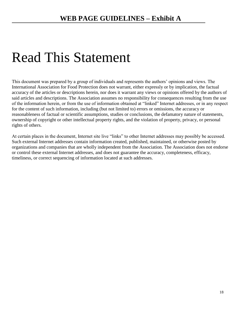# Read This Statement

This document was prepared by a group of individuals and represents the authors' opinions and views. The International Association for Food Protection does not warrant, either expressly or by implication, the factual accuracy of the articles or descriptions herein, nor does it warrant any views or opinions offered by the authors of said articles and descriptions. The Association assumes no responsibility for consequences resulting from the use of the information herein, or from the use of information obtained at "linked" Internet addresses, or in any respect for the content of such information, including (but not limited to) errors or omissions, the accuracy or reasonableness of factual or scientific assumptions, studies or conclusions, the defamatory nature of statements, ownership of copyright or other intellectual property rights, and the violation of property, privacy, or personal rights of others.

At certain places in the document, Internet site live "links" to other Internet addresses may possibly be accessed. Such external Internet addresses contain information created, published, maintained, or otherwise posted by organizations and companies that are wholly independent from the Association. The Association does not endorse or control these external Internet addresses, and does not guarantee the accuracy, completeness, efficacy, timeliness, or correct sequencing of information located at such addresses.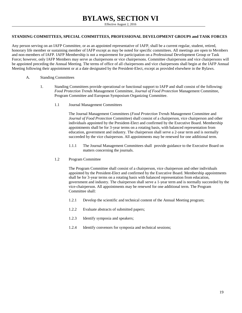## **BYLAWS, SECTION VI**

Effective August 2, 2016

#### <span id="page-18-0"></span>**STANDING COMMITTEES, SPECIAL COMMITTEES, PROFESSIONAL DEVELOPMENT GROUPS and TASK FORCES**

Any person serving on an IAFP Committee, or as an appointed representative of IAFP, shall be a current regular, student, retired, honorary life member or sustaining member of IAFP except as may be noted for specific committees. All meetings are open to Members and non-members of IAFP. IAFP Membership is not a requirement for participation on a Professional Development Group or Task Force; however, only IAFP Members may serve as chairpersons or vice chairpersons. Committee chairpersons and vice chairpersons will be appointed preceding the Annual Meeting. The terms of office of all chairpersons and vice chairpersons shall begin at the IAFP Annual Meeting following their appointment or at a date designated by the President-Elect, except as provided elsewhere in the Bylaws.

- A. Standing Committees
	- 1. Standing Committees provide operational or functional support to IAFP and shall consist of the following: *Food Protection Trends* Management Committee, *Journal of Food Protection* Management Committee, Program Committee and European Symposium Organizing Committee.
		- 1.1 Journal Management Committees

The Journal Management Committees (*Food Protection Trends* Management Committee and *Journal of Food Protection* Committee) shall consist of a chairperson, vice chairperson and other individuals appointed by the President-Elect and confirmed by the Executive Board. Membership appointments shall be for 3-year terms on a rotating basis, with balanced representation from education, government and industry. The chairperson shall serve a 2-year term and is normally succeeded by the vice chairperson. All appointments may be renewed for one additional term.

- 1.1.1 The Journal Management Committees shall provide guidance to the Executive Board on matters concerning the journals.
- 1.2 Program Committee

The Program Committee shall consist of a chairperson, vice chairperson and other individuals appointed by the President-Elect and confirmed by the Executive Board. Membership appointments shall be for 3-year terms on a rotating basis with balanced representation from education, government and industry. The chairperson shall serve a 1-year term and is normally succeeded by the vice-chairperson. All appointments may be renewed for one additional term. The Program Committee shall:

- 1.2.1 Develop the scientific and technical content of the Annual Meeting program;
- 1.2.2 Evaluate abstracts of submitted papers;
- 1.2.3 Identify symposia and speakers;
- 1.2.4 Identify convenors for symposia and technical sessions;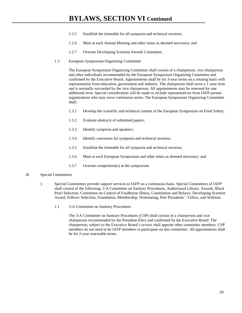- 1.2.5 Establish the timetable for all symposia and technical sessions;
- 1.2.6 Meet at each Annual Meeting and other times as deemed necessary; and
- 1.2.7 Oversee Developing Scientist Awards Committee.
- 1.3 European Symposium Organizing Committee

The European Symposium Organizing Committee shall consist of a chairperson, vice chairperson and other individuals recommended by the European Symposium Organizing Committee and confirmed by the Executive Board. Appointments shall be for 3-year terms on a rotating basis with representation from education, government and industry. The chairperson shall serve a 1-year term and is normally succeeded by the vice chairperson. All appointments may be renewed for one additional term. Special consideration will be made to include representatives from IAFP partner organizations who may serve continuous terms. The European Symposium Organizing Committee shall:

- 1.3.1 Develop the scientific and technical content of the European Symposium on Food Safety;
- 1.3.2 Evaluate abstracts of submitted papers;
- 1.3.3 Identify symposia and speakers;
- 1.3.4 Identify convenors for symposia and technical sessions;
- 1.3.5 Establish the timetable for all symposia and technical sessions;
- 1.3.6 Meet at each European Symposium and other times as deemed necessary; and
- 1.3.7 Oversee competition(s) at the symposium.

#### B. Special Committees

- 1. Special Committees provide support services to IAFP on a continuous basis. Special Committees of IAFP shall consist of the following: 3-A Committee on Sanitary Procedures, Audiovisual Library, Awards, Black Pearl Selection, Committee on Control of Foodborne Illness, Constitution and Bylaws, Developing Scientist Award, Fellows Selection, Foundation, Membership, Nominating, Past Presidents', Tellers, and Webinar.
	- 1.1 3-A Committee on Sanitary Procedures

The 3-A Committee on Sanitary Procedures (CSP) shall consist of a chairperson and vice chairperson recommended by the President-Elect and confirmed by the Executive Board. The chairperson, subject to the Executive Board's review shall appoint other committee members. CSP members do not need to be IAFP members to participate on this committee. All appointments shall be for 2-year renewable terms.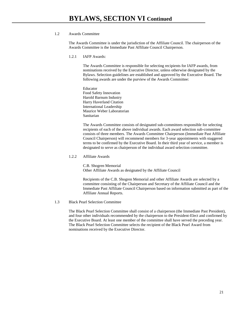#### 1.2 Awards Committee

The Awards Committee is under the jurisdiction of the Affiliate Council. The chairperson of the Awards Committee is the Immediate Past Affiliate Council Chairperson.

1.2.1 IAFP Awards:

The Awards Committee is responsible for selecting recipients for IAFP awards, from nominations received by the Executive Director, unless otherwise designated by the Bylaws. Selection guidelines are established and approved by the Executive Board. The following awards are under the purview of the Awards Committee:

Educator Food Safety Innovation Harold Barnum Industry Harry Haverland Citation International Leadership Maurice Weber Laboratorian Sanitarian

The Awards Committee consists of designated sub-committees responsible for selecting recipients of each of the above individual awards. Each award selection sub-committee consists of three members. The Awards Committee Chairperson (Immediate Past Affiliate Council Chairperson) will recommend members for 3-year appointments with staggered terms to be confirmed by the Executive Board. In their third year of service, a member is designated to serve as chairperson of the individual award selection committee.

#### 1.2.2 Affiliate Awards

C.B. Shogren Memorial Other Affiliate Awards as designated by the Affiliate Council

Recipients of the C.B. Shogren Memorial and other Affiliate Awards are selected by a committee consisting of the Chairperson and Secretary of the Affiliate Council and the Immediate Past Affiliate Council Chairperson based on information submitted as part of the Affiliate Annual Reports.

#### 1.3 Black Pearl Selection Committee

The Black Pearl Selection Committee shall consist of a chairperson (the Immediate Past President), and four other individuals recommended by the chairperson to the President-Elect and confirmed by the Executive Board. At least one member of the committee shall have served the preceding year. The Black Pearl Selection Committee selects the recipient of the Black Pearl Award from nominations received by the Executive Director.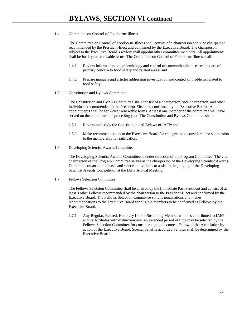#### 1.4 Committee on Control of Foodborne Illness

The Committee on Control of Foodborne Illness shall consist of a chairperson and vice chairperson recommended by the President-Elect and confirmed by the Executive Board. The chairperson, subject to the Executive Board's review shall appoint other committee members. All appointments shall be for 2-year renewable terms. The Committee on Control of Foodborne Illness shall:

- 1.4.1 Review information on epidemiology and control of communicable diseases that are of primary concern to food safety and related areas; and
- 1.4.2 Prepare manuals and articles addressing investigation and control of problems related to food safety.
- 1.5 Constitution and Bylaws Committee

The Constitution and Bylaws Committee shall consist of a chairperson, vice chairperson, and other individuals recommended to the President-Elect and confirmed by the Executive Board. All appointments shall be for 2-year renewable terms. At least one member of the committee will have served on the committee the preceding year. The Constitution and Bylaws Committee shall:

- 1.5.1 Review and study the Constitution and Bylaws of IAFP; and
- 1.5.2 Make recommendations to the Executive Board for changes to be considered for submission to the membership for ratification.
- 1.6 Developing Scientist Awards Committee

The Developing Scientist Awards Committee is under direction of the Program Committee. The vice chairperson of the Program Committee serves as the chairperson of the Developing Scientist Awards Committee on an annual basis and selects individuals to assist in the judging of the Developing Scientist Awards Competition at the IAFP Annual Meeting.

1.7 Fellows Selection Committee

The Fellows Selection Committee shall be chaired by the Immediate Past President and consist of at least 3 other Fellows recommended by the chairperson to the President-Elect and confirmed by the Executive Board. The Fellows Selection Committee solicits nominations and makes recommendations to the Executive Board for eligible members to be confirmed as Fellows by the Executive Board.

1.7.1 Any Regular, Retired, Honorary Life or Sustaining Member who has contributed to IAFP and its Affiliates with distinction over an extended period of time may be selected by the Fellows Selection Committee for consideration to become a Fellow of the Association by action of the Executive Board. Special benefits accorded Fellows shall be determined by the Executive Board.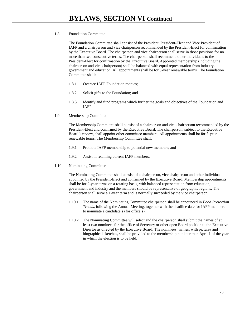#### 1.8 Foundation Committee

The Foundation Committee shall consist of the President, President-Elect and Vice President of IAFP and a chairperson and vice chairperson recommended by the President-Elect for confirmation by the Executive Board. The chairperson and vice chairperson shall serve in those positions for no more than two consecutive terms. The chairperson shall recommend other individuals to the President-Elect for confirmation by the Executive Board. Appointed membership (including the chairperson and vice chairperson) shall be balanced with equal representation from industry, government and education. All appointments shall be for 3-year renewable terms. The Foundation Committee shall:

- 1.8.1 Oversee IAFP Foundation monies;
- 1.8.2 Solicit gifts to the Foundation; and
- 1.8.3 Identify and fund programs which further the goals and objectives of the Foundation and IAFP.
- 1.9 Membership Committee

The Membership Committee shall consist of a chairperson and vice chairperson recommended by the President-Elect and confirmed by the Executive Board. The chairperson, subject to the Executive Board's review, shall appoint other committee members. All appointments shall be for 2-year renewable terms. The Membership Committee shall:

- 1.9.1 Promote IAFP membership to potential new members; and
- 1.9.2 Assist in retaining current IAFP members.
- 1.10 Nominating Committee

The Nominating Committee shall consist of a chairperson, vice chairperson and other individuals appointed by the President-Elect and confirmed by the Executive Board. Membership appointments shall be for 2-year terms on a rotating basis, with balanced representation from education, government and industry and the members should be representative of geographic regions. The chairperson shall serve a 1-year term and is normally succeeded by the vice chairperson.

- 1.10.1 The name of the Nominating Committee chairperson shall be announced in *Food Protection Trends*, following the Annual Meeting, together with the deadline date for IAFP members to nominate a candidate(s) for office(s).
- 1.10.2 The Nominating Committee will select and the chairperson shall submit the names of at least two nominees for the office of Secretary or other open Board position to the Executive Director as directed by the Executive Board. The nominees' names, with pictures and biographical sketches, shall be provided to the membership not later than April 1 of the year in which the election is to be held.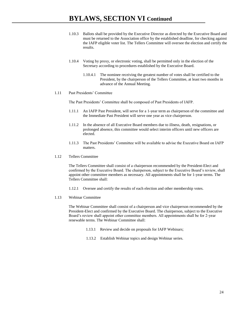- 1.10.3 Ballots shall be provided by the Executive Director as directed by the Executive Board and must be returned to the Association office by the established deadline, for checking against the IAFP eligible voter list. The Tellers Committee will oversee the election and certify the results.
- 1.10.4 Voting by proxy, or electronic voting, shall be permitted only in the election of the Secretary according to procedures established by the Executive Board.
	- 1.10.4.1 The nominee receiving the greatest number of votes shall be certified to the President, by the chairperson of the Tellers Committee, at least two months in advance of the Annual Meeting.

#### 1.11 Past Presidents' Committee

The Past Presidents' Committee shall be composed of Past Presidents of IAFP.

- 1.11.1 An IAFP Past President, will serve for a 1-year term as chairperson of the committee and the Immediate Past President will serve one year as vice chairperson.
- 1.11.2 In the absence of all Executive Board members due to illness, death, resignations, or prolonged absence, this committee would select interim officers until new officers are elected.
- 1.11.3 The Past Presidents' Committee will be available to advise the Executive Board on IAFP matters.
- 1.12 Tellers Committee

The Tellers Committee shall consist of a chairperson recommended by the President-Elect and confirmed by the Executive Board. The chairperson, subject to the Executive Board's review, shall appoint other committee members as necessary. All appointments shall be for 1-year terms. The Tellers Committee shall:

- 1.12.1 Oversee and certify the results of each election and other membership votes.
- 1.13 Webinar Committee

The Webinar Committee shall consist of a chairperson and vice chairperson recommended by the President-Elect and confirmed by the Executive Board. The chairperson, subject to the Executive Board's review shall appoint other committee members. All appointments shall be for 2-year renewable terms. The Webinar Committee shall:

- 1.13.1 Review and decide on proposals for IAFP Webinars;
- 1.13.2 Establish Webinar topics and design Webinar series.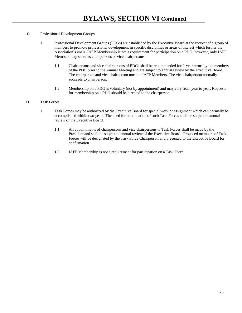#### C. Professional Development Groups

- 1. Professional Development Groups (PDGs) are established by the Executive Board at the request of a group of members to promote professional development in specific disciplines or areas of interest which further the Association's goals. IAFP Membership is not a requirement for participation on a PDG; however, only IAFP Members may serve as chairpersons or vice chairpersons.
	- 1.1 Chairpersons and vice chairpersons of PDGs shall be recommended for 2-year terms by the members of the PDG prior to the Annual Meeting and are subject to annual review by the Executive Board. The chairperson and vice chairperson must be IAFP Members. The vice chairperson normally succeeds to chairperson.
	- 1.2 Membership on a PDG is voluntary (not by appointment) and may vary from year to year. Requests for membership on a PDG should be directed to the chairperson.

#### D. Task Forces

- 1. Task Forces may be authorized by the Executive Board for special work or assignment which can normally be accomplished within two years. The need for continuation of such Task Forces shall be subject to annual review of the Executive Board.
	- 1.1 All appointments of chairpersons and vice chairpersons to Task Forces shall be made by the President and shall be subject to annual review of the Executive Board. Proposed members of Task Forces will be designated by the Task Force Chairperson and presented to the Executive Board for confirmation.
	- 1.2 IAFP Membership is not a requirement for participation on a Task Force.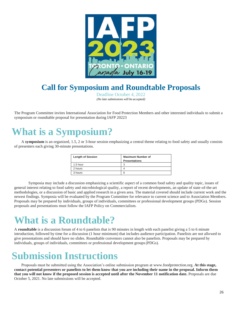

# **Call for Symposium and Roundtable Proposals**

Deadline October 4, 2022 *(No late submissions will be accepted)*

The Program Committee invites International Association for Food Protection Members and other interested individuals to submit a symposium or roundtable proposal for presentation during IAFP 20223

# <span id="page-25-0"></span>**What is a Symposium?**

A **symposium** is an organized, 1.5, 2 or 3-hour session emphasizing a central theme relating to food safety and usually consists of presenters each giving 30-minute presentations.

| <b>Length of Session</b> | <b>Maximum Number of</b> |
|--------------------------|--------------------------|
|                          | <b>Presentations</b>     |
| 1.5 hour                 | ົ<br>د.                  |
| 2 hours                  |                          |
| 3 hours                  | 6                        |
|                          |                          |

Symposia may include a discussion emphasizing a scientific aspect of a common food safety and quality topic, issues of general interest relating to food safety and microbiological quality, a report of recent developments, an update of state-of-the-art methodologies, or a discussion of basic and applied research in a given area. The material covered should include current work and the newest findings. Symposia will be evaluated by the Program Committee for relevance to current science and to Association Members. Proposals may be prepared by individuals, groups of individuals, committees or professional development groups (PDGs). Session proposals and presentations must follow the IAFP Policy on Commercialism.

# **What is a Roundtable?**

A **roundtable** is a discussion forum of 4 to 6 panelists that is 90 minutes in length with each panelist giving a 5 to 6 minute introduction, followed by time for a discussion (1 hour minimum) that includes audience participation. Panelists are not allowed to give presentations and should have no slides. Roundtable convenors cannot also be panelists. Proposals may be prepared by individuals, groups of individuals, committees or professional development groups(PDGs).

# **Submission Instructions**

Proposals must be submitted using the Association's online submission program at [www.foodprotection.org.](http://www.foodprotection.org/) **At this stage, contact potential presenters or panelists to let them know that you are including their name in the proposal. Inform them that you will not know if the proposed session is accepted until after the November 11 notification date.** Proposals are due October 5, 2021. No late submissions will be accepted.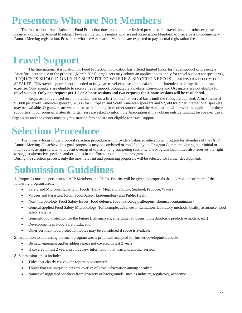# **Presenters Who are Not Members**

The International Association for Food Protection does not reimburse invited presenters for travel, hotel, or other expenses incurred during the Annual Meeting. However, invited presenters who are not Association Members will receive a complimentary Annual Meeting registration. Presenters who are Association Members are expected to pay normal registration fees.

# **Travel Support**

The International Association for Food Protection Foundation has offered limited funds for travel support of presenters. After final acceptance of the proposal (March 2021), organizers may submit an application to apply for travel support for speakers(s). REQUESTS SHOULD ONLY BE SUBMITTED WHERE A SINCERE NEED IS DEMONSTRATED BY THE SPEAKER. This travel support is not intended to fully pay travel expenses for speakers, but is intended to defray the total travel expense. Only speakers are eligible to receive travel support. Roundtable Panelists, Convenors and Organizers are not eligible for travel support. **Only one request per 1.5 or 2-hour sessions and two requests for 3-hour sessions will be considered.**

Requests are reviewed on an individual and on a first-come, first-served basis until the funds are depleted. A maximum of \$1,000 per North American speaker, \$2,000 for European and South American speakers and \$2,500 for other international speakers may be available. Organizers are welcome to seek funding from other sources and the Association will provide recognition for these supporters in our program materials. Organizers are asked to inform the Association if they obtain outside funding for speaker travel.

Organizers and convenors must pay registration fees and are not eligible for travel support.

# **Selection Procedure**

The primary focus of the proposal selection procedure is to provide a balanced educational program for attendees of the IAFP Annual Meeting. To achieve this goal, proposals may be combined or modified by the Program Committee during their initial or final review, as appropriate, to prevent overlap of topics among competing sessions. The Program Committee also reserves the right to suggest alternative speakers and/or topics in an effort to round out the program.

During the selection process, only the most relevant and promising proposals will be selected for further development.

# **Submission Guidelines**

1. Proposals must be pertinent to IAFP Members and PDGs. Priority will be given to proposals that address one or more of the following program areas:

- Safety and Microbial Quality of Foods (Dairy, Meat and Poultry, Seafood, Produce, Water)
- Viruses and Parasites, Retail Food Safety, Epidemiology and Public Health
- Non-microbiology Food Safety Issues (food defense, food toxicology, allergens, chemical contaminants)
- General-applied Food Safety Microbiology (for example, advances in sanitation, laboratory methods, quality assurance, food safety systems)
- General-food Protection for the Future (risk analysis, emerging pathogens, biotechnology, predictive models, etc.)
- Developments in Food Safety Education
- Other pertinent food protection topics may be considered if space is available
- 2. In addition to addressing pertinent program areas, proposals accepted for further development should:
	- Be new, emerging and/or address areas not covered in last 2 years
	- If covered in last 2 years, provide new information that warrants another session
- 3. Submissions must include:
	- Titles that clearly convey the topics to be covered
	- Topics that are unique to prevent overlap of basic information among speakers
	- Names of suggested speakers from a variety of backgrounds, such as industry, regulatory, academic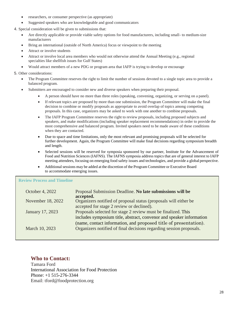- researchers, or consumer perspective (as appropriate)
- Suggested speakers who are knowledgeable and good communicators
- 4. Special consideration will be given to submissions that:
	- Are directly applicable or provide viable safety options for food manufacturers, including small- to medium-size manufacturers
	- Bring an international (outside of North America) focus or viewpoint to the meeting
	- Attract or involve students
	- Attract or involve local area members who would not otherwise attend the Annual Meeting (e.g., regional specialties like shellfish issues for Gulf States)
	- Would attract members of a new PDG or program area that IAFP is trying to develop or encourage

#### 5. Other considerations:

- The Program Committee reserves the right to limit the number of sessions devoted to a single topic area to provide a balanced program.
- Submitters are encouraged to consider new and diverse speakers when preparing their proposal.
	- A person should have no more than three roles (speaking, convening, organizing, or serving on a panel).
	- If relevant topics are proposed by more than one submission, the Program Committee will make the final decision to combine or modify proposals as appropriate to avoid overlap of topics among competing proposals. In this case, organizers may be asked to work with one another to combine proposals.
	- The IAFP Program Committee reserves the right to review proposals, including proposed subjects and speakers, and make modifications (including speaker replacement recommendations) in order to provide the most comprehensive and balanced program. Invited speakers need to be made aware of these conditions when they are contacted.
	- Due to space and time limitations, only the most relevant and promising proposals will be selected for further development. Again, the Program Committee will make final decisions regarding symposium breadth and length.
	- Selected sessions will be reserved for symposia sponsored by our partner, Institute for the Advancement of Food and Nutrition Sciences (IAFNS). The IAFNS symposia address topics that are of general interest to IAFP meeting attendees, focusing on emerging food safety issues and technologies, and provide a global perspective.
	- Additional sessions may be added at the discretion of the Program Committee or Executive Board to accommodate emerging issues.

### **Review Process and Timeline**

| October 4, 2022   | Proposal Submission Deadline. No late submissions will be<br>accepted.                                                                  |
|-------------------|-----------------------------------------------------------------------------------------------------------------------------------------|
| November 18, 2022 | Organizers notified of proposal status (proposals will either be<br>accepted for stage 2 review or declined).                           |
| January 17, 2023  | Proposals selected for stage 2 review must be finalized. This<br>includes symposium title, abstract, convenor and speaker information   |
| March 10, 2023    | (name, contact information, and proposed title of presentation).<br>Organizers notified of final decisions regarding session proposals. |

### **Who to Contact:**

Tamara Ford International Association for Food Protection Phone: +1 515-276-3344 Email: [tford@foodprotection.org](mailto:tford@foodprotection.org)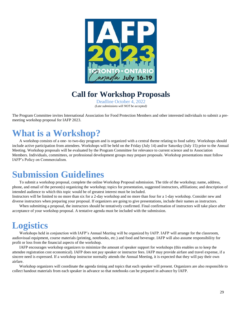

## **Call for Workshop Proposals**

Deadline October 4, 2022 *(Late submissions will NOT be accepted)*

The Program Committee invites International Association for Food Protection Members and other interested individuals to submit a premeeting workshop proposal for IAFP 2023.

# **What is a Workshop?**

A workshop consists of a one- to two-day program and is organized with a central theme relating to food safety. Workshops should include active participation from attendees. Workshops will be held on the Friday (July 14) and/or Saturday (July 15) prior to the Annual Meeting. Workshop proposals will be evaluated by the Program Committee for relevance to current science and to Association Members. Individuals, committees, or professional development groups may prepare proposals. Workshop presentations must follow IAFP's Policy on Commercialism.

# **Submission Guidelines**

To submit a workshop proposal, complete the online Workshop Proposal submission. The title of the workshop; name, address, phone, and email of the person(s) organizing the workshop; topics for presentation, suggested instructors, affiliations; and description of intended audience to which this topic would be of greatest interest must be included.

Instructors will be limited to no more than six for a 2-day workshop and no more than four for a 1-day workshop. Consider new and diverse instructors when preparing your proposal. If organizers are going to give presentations, include their names as instructors.

When submitting a proposal, the instructors should be tentatively confirmed. Final confirmation of instructors will take place after acceptance of your workshop proposal. A tentative agenda must be included with the submission.

# **Logistics**

Workshops held in conjunction with IAFP's Annual Meeting will be organized by IAFP. IAFP will arrange for the classroom, audiovisual equipment, course materials (printing, notebooks, etc.) and food and beverage. IAFP will also assume responsibility for profit or loss from the financial aspects of the workshop.

IAFP encourages workshop organizers to minimize the amount of speaker support for workshops (this enables us to keep the attendee registration cost economical). IAFP does not pay speaker or instructor fees. IAFP may provide airfare and travel expense, if a sincere need is expressed. If a workshop instructor normally attends the Annual Meeting, it is expected that they will pay their own airfare.

Workshop organizers will coordinate the agenda timing and topics that each speaker will present. Organizers are also responsible to collect handout materials from each speaker in advance so that notebooks can be prepared in advance by IAFP.